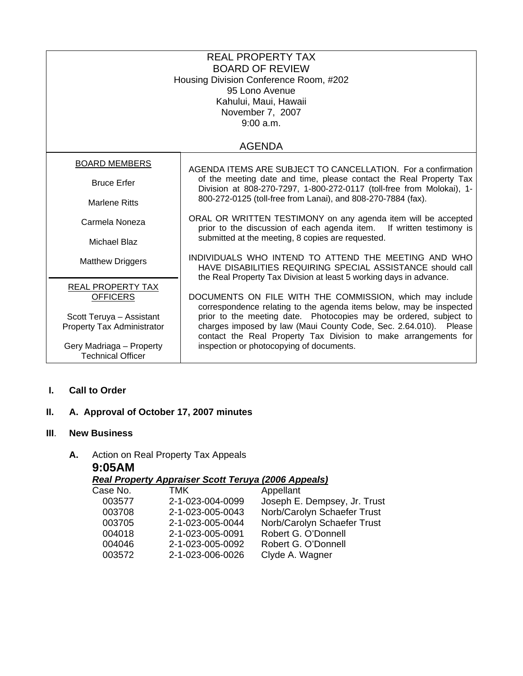| <b>REAL PROPERTY TAX</b><br><b>BOARD OF REVIEW</b><br>Housing Division Conference Room, #202<br>95 Lono Avenue<br>Kahului, Maui, Hawaii<br>November 7, 2007<br>9:00 a.m. |                                                                                                                                                                                                                                                                                 |  |
|--------------------------------------------------------------------------------------------------------------------------------------------------------------------------|---------------------------------------------------------------------------------------------------------------------------------------------------------------------------------------------------------------------------------------------------------------------------------|--|
|                                                                                                                                                                          | <b>AGENDA</b>                                                                                                                                                                                                                                                                   |  |
| <b>BOARD MEMBERS</b>                                                                                                                                                     | AGENDA ITEMS ARE SUBJECT TO CANCELLATION. For a confirmation                                                                                                                                                                                                                    |  |
| <b>Bruce Erfer</b>                                                                                                                                                       | of the meeting date and time, please contact the Real Property Tax<br>Division at 808-270-7297, 1-800-272-0117 (toll-free from Molokai), 1-<br>800-272-0125 (toll-free from Lanai), and 808-270-7884 (fax).                                                                     |  |
| <b>Marlene Ritts</b>                                                                                                                                                     |                                                                                                                                                                                                                                                                                 |  |
| Carmela Noneza                                                                                                                                                           | ORAL OR WRITTEN TESTIMONY on any agenda item will be accepted<br>prior to the discussion of each agenda item.<br>If written testimony is                                                                                                                                        |  |
| Michael Blaz                                                                                                                                                             | submitted at the meeting, 8 copies are requested.                                                                                                                                                                                                                               |  |
| <b>Matthew Driggers</b>                                                                                                                                                  | INDIVIDUALS WHO INTEND TO ATTEND THE MEETING AND WHO<br>HAVE DISABILITIES REQUIRING SPECIAL ASSISTANCE should call<br>the Real Property Tax Division at least 5 working days in advance.                                                                                        |  |
| <b>REAL PROPERTY TAX</b><br><b>OFFICERS</b>                                                                                                                              | DOCUMENTS ON FILE WITH THE COMMISSION, which may include                                                                                                                                                                                                                        |  |
| Scott Teruya - Assistant<br>Property Tax Administrator                                                                                                                   | correspondence relating to the agenda items below, may be inspected<br>prior to the meeting date. Photocopies may be ordered, subject to<br>charges imposed by law (Maui County Code, Sec. 2.64.010). Please<br>contact the Real Property Tax Division to make arrangements for |  |
| Gery Madriaga - Property<br><b>Technical Officer</b>                                                                                                                     | inspection or photocopying of documents.                                                                                                                                                                                                                                        |  |

### **I. Call to Order**

# **II. A. Approval of October 17, 2007 minutes**

# **III**. **New Business**

### **A.** Action on Real Property Tax Appeals **9:05AM**

*Real Property Appraiser Scott Teruya (2006 Appeals)*

| TMK              | Appellant                    |
|------------------|------------------------------|
| 2-1-023-004-0099 | Joseph E. Dempsey, Jr. Trust |
| 2-1-023-005-0043 | Norb/Carolyn Schaefer Trust  |
| 2-1-023-005-0044 | Norb/Carolyn Schaefer Trust  |
| 2-1-023-005-0091 | Robert G. O'Donnell          |
| 2-1-023-005-0092 | Robert G. O'Donnell          |
| 2-1-023-006-0026 | Clyde A. Wagner              |
|                  |                              |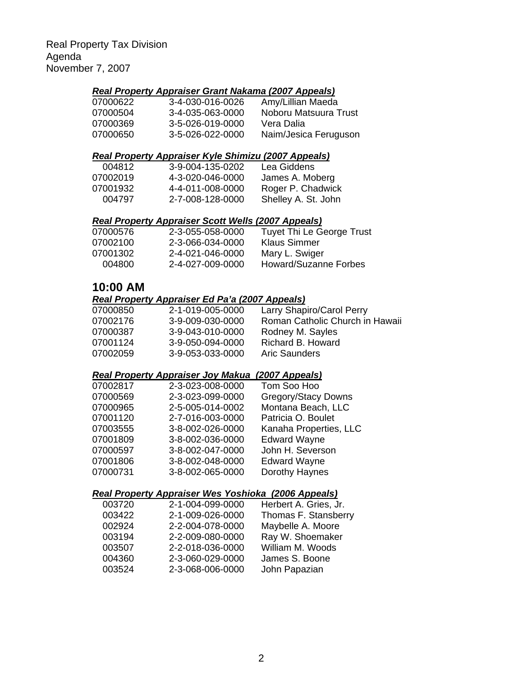#### *Real Property Appraiser Grant Nakama (2007 Appeals)*

| 07000622 | 3-4-030-016-0026 | Amy/Lillian Maeda     |
|----------|------------------|-----------------------|
| 07000504 | 3-4-035-063-0000 | Noboru Matsuura Trust |
| 07000369 | 3-5-026-019-0000 | Vera Dalia            |
| 07000650 | 3-5-026-022-0000 | Naim/Jesica Feruguson |

#### *Real Property Appraiser Kyle Shimizu (2007 Appeals)*

| 004812   | 3-9-004-135-0202 | Lea Giddens         |
|----------|------------------|---------------------|
| 07002019 | 4-3-020-046-0000 | James A. Moberg     |
| 07001932 | 4-4-011-008-0000 | Roger P. Chadwick   |
| 004797   | 2-7-008-128-0000 | Shelley A. St. John |
|          |                  |                     |

### *Real Property Appraiser Scott Wells (2007 Appeals)*

| 07000576<br>07002100 | 2-3-055-058-0000<br>2-3-066-034-0000 | Tuyet Thi Le George Trust<br>Klaus Simmer |
|----------------------|--------------------------------------|-------------------------------------------|
| 07001302             | 2-4-021-046-0000                     | Mary L. Swiger                            |
| 004800               | 2-4-027-009-0000                     | Howard/Suzanne Forbes                     |

# **10:00 AM**

# *Real Property Appraiser Ed Pa'a (2007 Appeals)*

| 07000850 | 2-1-019-005-0000 | Larry Shapiro/Carol Perry       |
|----------|------------------|---------------------------------|
| 07002176 | 3-9-009-030-0000 | Roman Catholic Church in Hawaii |
| 07000387 | 3-9-043-010-0000 | Rodney M. Sayles                |
| 07001124 | 3-9-050-094-0000 | Richard B. Howard               |
| 07002059 | 3-9-053-033-0000 | <b>Aric Saunders</b>            |
|          |                  |                                 |

### *Real Property Appraiser Joy Makua (2007 Appeals)*

| 07002817 | 2-3-023-008-0000 | Tom Soo Hoo                |
|----------|------------------|----------------------------|
| 07000569 | 2-3-023-099-0000 | <b>Gregory/Stacy Downs</b> |
| 07000965 | 2-5-005-014-0002 | Montana Beach, LLC         |
| 07001120 | 2-7-016-003-0000 | Patricia O. Boulet         |
| 07003555 | 3-8-002-026-0000 | Kanaha Properties, LLC     |
| 07001809 | 3-8-002-036-0000 | <b>Edward Wayne</b>        |
| 07000597 | 3-8-002-047-0000 | John H. Severson           |
| 07001806 | 3-8-002-048-0000 | <b>Edward Wayne</b>        |
| 07000731 | 3-8-002-065-0000 | Dorothy Haynes             |
|          |                  |                            |

# *Real Property Appraiser Wes Yoshioka (2006 Appeals)*

| 003720 | 2-1-004-099-0000 | Herbert A. Gries, Jr. |
|--------|------------------|-----------------------|
| 003422 | 2-1-009-026-0000 | Thomas F. Stansberry  |
| 002924 | 2-2-004-078-0000 | Maybelle A. Moore     |
| 003194 | 2-2-009-080-0000 | Ray W. Shoemaker      |
| 003507 | 2-2-018-036-0000 | William M. Woods      |
| 004360 | 2-3-060-029-0000 | James S. Boone        |
| 003524 | 2-3-068-006-0000 | John Papazian         |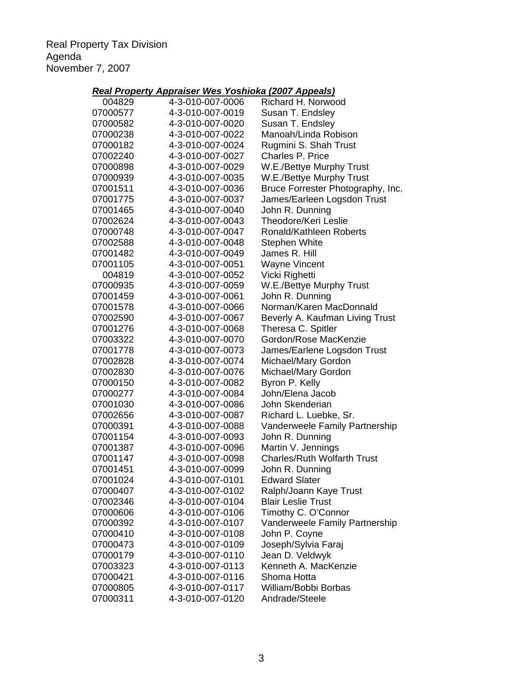Real Property Tax Division Agenda November 7, 2007

# *Real Property Appraiser Wes Yoshioka (2007 Appeals)*

| 004829   | 4-3-010-007-0006 | Richard H. Norwood                 |
|----------|------------------|------------------------------------|
| 07000577 | 4-3-010-007-0019 | Susan T. Endsley                   |
| 07000582 | 4-3-010-007-0020 | Susan T. Endsley                   |
| 07000238 | 4-3-010-007-0022 | Manoah/Linda Robison               |
| 07000182 | 4-3-010-007-0024 | Rugmini S. Shah Trust              |
| 07002240 | 4-3-010-007-0027 | Charles P. Price                   |
| 07000898 | 4-3-010-007-0029 | W.E./Bettye Murphy Trust           |
| 07000939 | 4-3-010-007-0035 | W.E./Bettye Murphy Trust           |
| 07001511 | 4-3-010-007-0036 | Bruce Forrester Photography, Inc.  |
| 07001775 | 4-3-010-007-0037 | James/Earleen Logsdon Trust        |
| 07001465 | 4-3-010-007-0040 | John R. Dunning                    |
| 07002624 | 4-3-010-007-0043 | Theodore/Keri Leslie               |
| 07000748 | 4-3-010-007-0047 | Ronald/Kathleen Roberts            |
| 07002588 | 4-3-010-007-0048 | <b>Stephen White</b>               |
| 07001482 | 4-3-010-007-0049 | James R. Hill                      |
| 07001105 | 4-3-010-007-0051 | <b>Wayne Vincent</b>               |
| 004819   | 4-3-010-007-0052 | Vicki Righetti                     |
| 07000935 | 4-3-010-007-0059 | W.E./Bettye Murphy Trust           |
| 07001459 | 4-3-010-007-0061 | John R. Dunning                    |
| 07001578 | 4-3-010-007-0066 | Norman/Karen MacDonnald            |
| 07002590 | 4-3-010-007-0067 | Beverly A. Kaufman Living Trust    |
| 07001276 | 4-3-010-007-0068 | Theresa C. Spitler                 |
| 07003322 | 4-3-010-007-0070 | Gordon/Rose MacKenzie              |
| 07001778 | 4-3-010-007-0073 | James/Earlene Logsdon Trust        |
| 07002828 | 4-3-010-007-0074 | Michael/Mary Gordon                |
| 07002830 | 4-3-010-007-0076 | Michael/Mary Gordon                |
| 07000150 | 4-3-010-007-0082 | Byron P. Kelly                     |
| 07000277 | 4-3-010-007-0084 | John/Elena Jacob                   |
| 07001030 | 4-3-010-007-0086 | John Skenderian                    |
| 07002656 | 4-3-010-007-0087 | Richard L. Luebke, Sr.             |
| 07000391 | 4-3-010-007-0088 | Vanderweele Family Partnership     |
| 07001154 | 4-3-010-007-0093 | John R. Dunning                    |
| 07001387 | 4-3-010-007-0096 | Martin V. Jennings                 |
| 07001147 | 4-3-010-007-0098 | <b>Charles/Ruth Wolfarth Trust</b> |
| 07001451 | 4-3-010-007-0099 | John R. Dunning                    |
| 07001024 | 4-3-010-007-0101 | <b>Edward Slater</b>               |
| 07000407 | 4-3-010-007-0102 | Ralph/Joann Kaye Trust             |
| 07002346 | 4-3-010-007-0104 | <b>Blair Leslie Trust</b>          |
| 07000606 | 4-3-010-007-0106 | Timothy C. O'Connor                |
| 07000392 | 4-3-010-007-0107 | Vanderweele Family Partnership     |
| 07000410 | 4-3-010-007-0108 | John P. Coyne                      |
| 07000473 | 4-3-010-007-0109 | Joseph/Sylvia Faraj                |
| 07000179 | 4-3-010-007-0110 | Jean D. Veldwyk                    |
| 07003323 | 4-3-010-007-0113 | Kenneth A. MacKenzie               |
| 07000421 | 4-3-010-007-0116 | Shoma Hotta                        |
| 07000805 | 4-3-010-007-0117 | William/Bobbi Borbas               |
| 07000311 | 4-3-010-007-0120 | Andrade/Steele                     |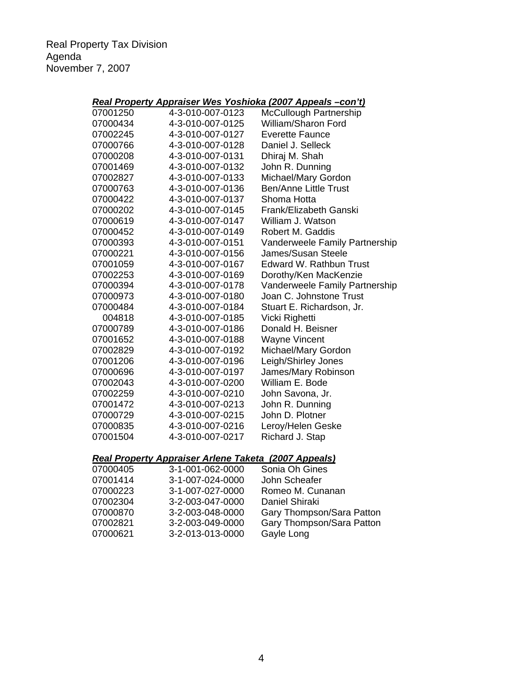Real Property Tax Division Agenda November 7, 2007

# *Real Property Appraiser Wes Yoshioka (2007 Appeals –con't)*

| 07001250 | 4-3-010-007-0123 | <b>McCullough Partnership</b>  |
|----------|------------------|--------------------------------|
| 07000434 | 4-3-010-007-0125 | William/Sharon Ford            |
| 07002245 | 4-3-010-007-0127 | <b>Everette Faunce</b>         |
| 07000766 | 4-3-010-007-0128 | Daniel J. Selleck              |
| 07000208 | 4-3-010-007-0131 | Dhiraj M. Shah                 |
| 07001469 | 4-3-010-007-0132 | John R. Dunning                |
| 07002827 | 4-3-010-007-0133 | Michael/Mary Gordon            |
| 07000763 | 4-3-010-007-0136 | <b>Ben/Anne Little Trust</b>   |
| 07000422 | 4-3-010-007-0137 | Shoma Hotta                    |
| 07000202 | 4-3-010-007-0145 | Frank/Elizabeth Ganski         |
| 07000619 | 4-3-010-007-0147 | William J. Watson              |
| 07000452 | 4-3-010-007-0149 | Robert M. Gaddis               |
| 07000393 | 4-3-010-007-0151 | Vanderweele Family Partnership |
| 07000221 | 4-3-010-007-0156 | James/Susan Steele             |
| 07001059 | 4-3-010-007-0167 | Edward W. Rathbun Trust        |
| 07002253 | 4-3-010-007-0169 | Dorothy/Ken MacKenzie          |
| 07000394 | 4-3-010-007-0178 | Vanderweele Family Partnership |
| 07000973 | 4-3-010-007-0180 | Joan C. Johnstone Trust        |
| 07000484 | 4-3-010-007-0184 | Stuart E. Richardson, Jr.      |
| 004818   | 4-3-010-007-0185 | Vicki Righetti                 |
| 07000789 | 4-3-010-007-0186 | Donald H. Beisner              |
| 07001652 | 4-3-010-007-0188 | <b>Wayne Vincent</b>           |
| 07002829 | 4-3-010-007-0192 | Michael/Mary Gordon            |
| 07001206 | 4-3-010-007-0196 | Leigh/Shirley Jones            |
| 07000696 | 4-3-010-007-0197 | James/Mary Robinson            |
| 07002043 | 4-3-010-007-0200 | William E. Bode                |
| 07002259 | 4-3-010-007-0210 | John Savona, Jr.               |
| 07001472 | 4-3-010-007-0213 | John R. Dunning                |
| 07000729 | 4-3-010-007-0215 | John D. Plotner                |
| 07000835 | 4-3-010-007-0216 | Leroy/Helen Geske              |
| 07001504 | 4-3-010-007-0217 | Richard J. Stap                |
|          |                  |                                |

# *Real Property Appraiser Arlene Taketa (2007 Appeals)*

| 07000405 | 3-1-001-062-0000 | Sonia Oh Gines            |
|----------|------------------|---------------------------|
| 07001414 | 3-1-007-024-0000 | John Scheafer             |
| 07000223 | 3-1-007-027-0000 | Romeo M. Cunanan          |
| 07002304 | 3-2-003-047-0000 | Daniel Shiraki            |
| 07000870 | 3-2-003-048-0000 | Gary Thompson/Sara Patton |
| 07002821 | 3-2-003-049-0000 | Gary Thompson/Sara Patton |
| 07000621 | 3-2-013-013-0000 | Gayle Long                |
|          |                  |                           |